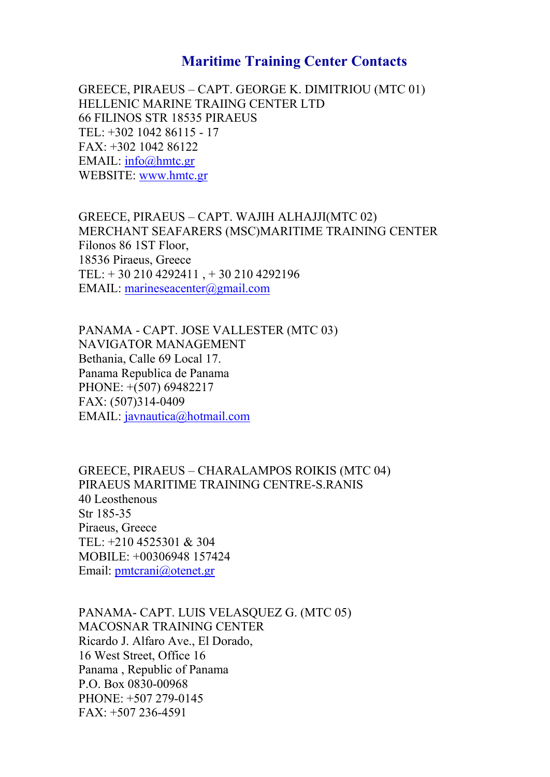## Maritime Training Center Contacts

GREECE, PIRACEAUPST. GEORGE K. DIMITRIOU (MTC 01) HELLENIC MARINE TRAIING CENTER LTD 66 FILINOS STR 18535 PIRAEUS  $TEL: +302 10421 786115$ FAX: +302 1042 86122 EMAILnfo@hmtc.gr WBSITEww.hmtc.gr

GREECE, PIRACEAUPST. WAJIH ALHAJJI(MTC 02) MERCHANT SEAFARERS (MSC) MARITIME TRAINING ( Filonos 86 1ST Floor, 18536 Piraeus, Greece TEL: + 30 210 4292411 , + 30 210 4292196 EMAI [marineseacenter](mailto:EMAIL: marineseacenter@gmail.com)@gmail.com

PANAM-ACAPT. JOSE VALLESTER (MTC 03) NAVIGATOR MANAGEMENT Bethania, Calle 69 Local 17. Panama Republica de Panama PHONE: +(507) 69482217  $FAX: (5070)430194$ EMAILavnautica@hotmail.com

GREECE, PIRACHUASRALAMPOS ROIKIS (MTC 04) PIRAEUS MARITIME TRAIN-EN GRADE SITRE 40 Leosthenous Str 13855 Piraeus, Greece TEL: +210 4525301 & 304 MOBILE: +00306948 157424 Emaphmtcrani@otenet.gr

PANAM CAPT. LUIS VELASQUEZ G. (MTC 05) MACOSNAR TRAINING CENTER Ricardo J. Alfaro Ave., El Dorado, 16 West Street, Office 16 Panama , Republic of Panama P.O. Box-000893608  $PHONE: +5007029$  $FAX: +507452936$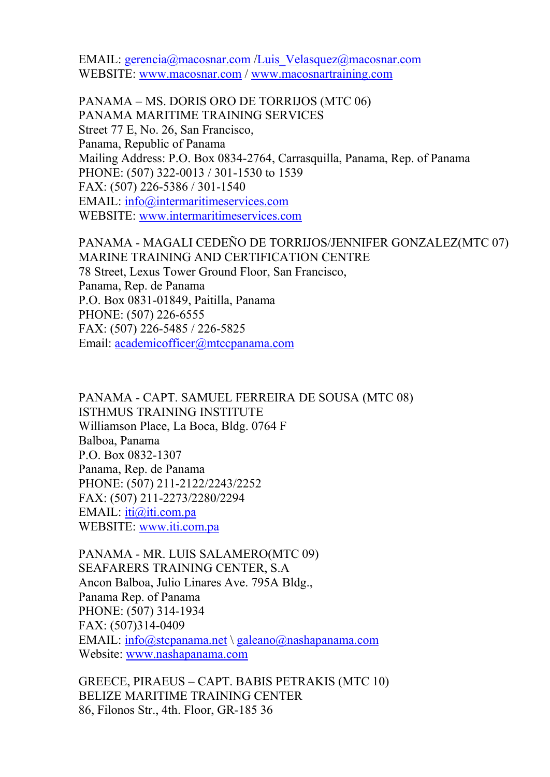EMAI<u>l[gerencia@mac](mailto:EMAIL: gerencia@macosnar.com)dIsuniasr. Vehasquez@m</u>acosnar.com WEBSITMEW w.macosn/awrwow.mmacosnartraining.com

PANAMAMS. DORIS ORO DE TORRIJOS (MTC 06) PANAMA MARITIME TRAINING SERVICES Street 77 E, No. 26, San Francisco, Panama, Republic of Panama Mailing Address:  $P-\frac{2}{3}$ 6 Bo $\Omega$  20<sup>8</sup>3 4 quilla, Panama, Rep. PHON(E5:07) -00223 /-1350310 to 1539 FAX: (507-5328266/-1350410 EMAILnfo@intermaritimeservices.com WEBSIT WE [www.intermaritime](www.intermaritimeservices.com)services.com

PANAM- MAMAGALI CEDEÑO DE TORRIJOS/JENNIFER GO MARINE TRAINING AND CERTIFICATION CENTRE 78 Street, Lexus Tower Ground Floor, San Francisco, Panama, Rep. de Panama P.O. Box-00183419, Paitilla, Panama  $PHONE: (5007552526)$ FAX: (507-5428256/-5282265 Emadcademicofficer@mtccpanama.com

PANAM-ACAPT. SAMUEL FERREIRA DE SOUSA (MTC 0 ISTHMUS TRAINING INSTITUTE Williamson Place, La Boca, Bldg. 0764 F Balboa, Panama  $P. O. B o x-10880372$ Pana, mRaep. de Panama PHONE: (5021) 2212243/2252 FAX: (5072227131/2280/2294 EMAILti@iti.com.pa WEBSITWEW.w.iti.com.pa

PANAM-MR. LUIS SALAMERO(MTC 09) SEAFARERS TR**GENINE**GR, S.A Ancon Balboa, Julio Linares Ave. 795A Bldg., Panama Rep. of Panama PHONE: (507933414  $FAX: (5070)480194$ EMAI [info@stcpan](mailto:EMAIL: info@stcpanama.net)\agma bea a b @nashcaopmanama. Website: [www.nashapan](www.nashapanama.com)ama.com

GREECE, PIRACEAUPST. BABIS PETRAKIS (MTC 10) BELIZE MARITIME TRAINING CENTER 86, Filonos Str., 4185 Bloor, GR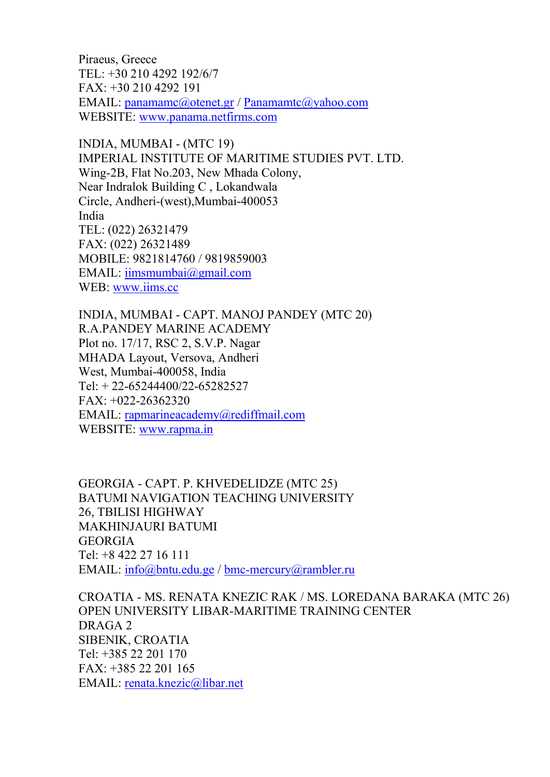Piraeus, Greece TEL: +30 210 4292 192/6/7  $FAX: +30 221 01 94 29$ EMAID: anamamc@o/tPeannetaing amtc@yahoo.com WEBSITWEW.w.panama.netfirms.com

INDIA, MUMBANTC 19) IMPERIASTINTUTE OF MARITIME STUDIES PVT. LTD. Win-@B, Flat No.203, New Mhada Colony, Near Indralok Building C , Lokandwala  $C$ ircle,  $A$ n(o $b$ heesti), Mu4n0 $b$ 0053 India TEL: (022) 26321479 FAX: (022) 26321489 MOBILE: 9821814760 / 9819859003 EMAIL: imsmumbai@gmail.com WEB[www.iim](www.iims.cc)s.cc

INDIA, MUMBCANPT. MANOJ PANDEY (MTC 20) R.A.PANDEY MARINE ACADEMY Plot no. 17/17, RSC 2, S.V.P. Nagar MHADA Layout, Versova, Andheri West, Mu4m0b0a0i5Bndia  $Tel: +632444005282527$  $FAX: +2B262320$ EMAI **[rapmarineacademy@](mailto:EMAIL: rapmarineacademy@rediffmail.com)rediffmail.com** WEBSITWEW.w.rapma.in

GEORGIGAPT. P. KHVEDELIDZE (MTC 25) BATUMI NAVIGATION TEACHING UNIVERSITY 26, TBILISI HIGHWAY MAKHINJAURI BATUMI GEORGIA Tel: +8 422 27 16 111 EMAIL[info@bntu](mailto:EMAIL: info@bntu.edu.ge)./dochulangeercury@rambler.ru

CROATIMS. RAETNA KNEZIC RAK / MS. LOREDANA BAR. OPEN UNIVERSIT-MARBARME TRAINING CENTER DRAGA 2 SIBENIK, CROATIA Tel: +385 22 201 170 FAX: +385 22 201 165 EMAILenata.knezic@libar.net